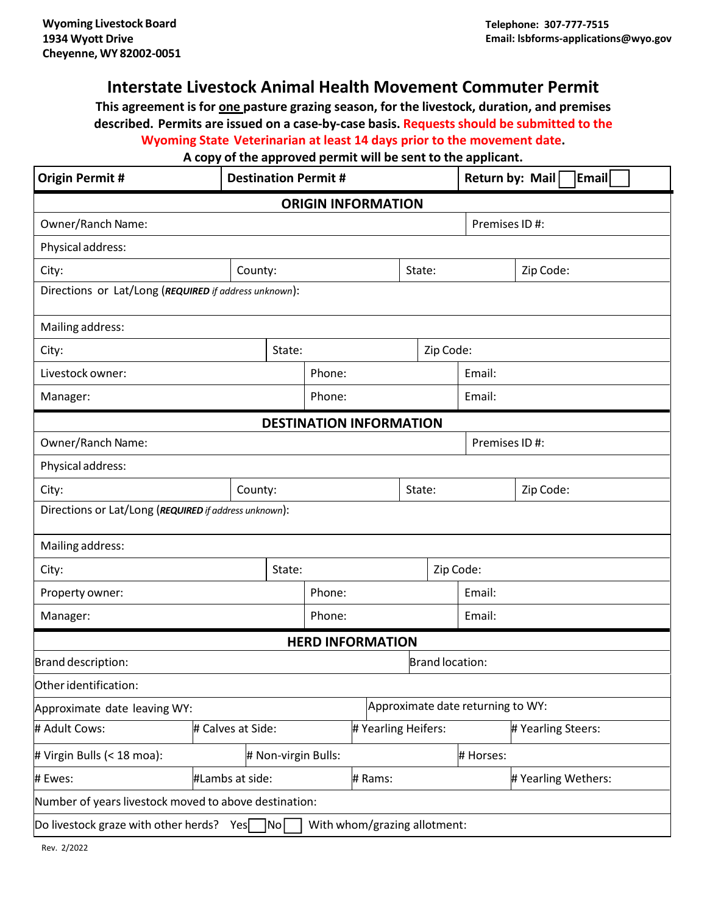## **Interstate Livestock Animal Health Movement Commuter Permit**

**This agreement is for one pasture grazing season, for the livestock, duration, and premises described. Permits are issued on a case-by-case basis. Requests should be submitted to the Wyoming State Veterinarian at least 14 days prior to the movement date.**

## **A copy of the approved permit will be sent to the applicant.**

| <b>Origin Permit #</b>                                                             |                   | <b>Destination Permit #</b> |                     |                     |               |                                   |                     | Return by: Mail<br>Email |           |  |  |
|------------------------------------------------------------------------------------|-------------------|-----------------------------|---------------------|---------------------|---------------|-----------------------------------|---------------------|--------------------------|-----------|--|--|
| <b>ORIGIN INFORMATION</b>                                                          |                   |                             |                     |                     |               |                                   |                     |                          |           |  |  |
| Owner/Ranch Name:                                                                  |                   |                             |                     |                     | Premises ID#: |                                   |                     |                          |           |  |  |
| Physical address:                                                                  |                   |                             |                     |                     |               |                                   |                     |                          |           |  |  |
| City:                                                                              | County:           |                             |                     |                     |               | State:                            |                     |                          | Zip Code: |  |  |
| Directions or Lat/Long (REQUIRED if address unknown):                              |                   |                             |                     |                     |               |                                   |                     |                          |           |  |  |
| Mailing address:                                                                   |                   |                             |                     |                     |               |                                   |                     |                          |           |  |  |
| City:                                                                              |                   |                             | Zip Code:<br>State: |                     |               |                                   |                     |                          |           |  |  |
| Livestock owner:                                                                   |                   |                             |                     | Phone:              |               |                                   | Email:              |                          |           |  |  |
| Manager:                                                                           |                   |                             |                     | Phone:              |               |                                   | Email:              |                          |           |  |  |
| <b>DESTINATION INFORMATION</b>                                                     |                   |                             |                     |                     |               |                                   |                     |                          |           |  |  |
| Owner/Ranch Name:                                                                  |                   |                             |                     |                     |               |                                   | Premises ID#:       |                          |           |  |  |
| Physical address:                                                                  |                   |                             |                     |                     |               |                                   |                     |                          |           |  |  |
| City:<br>County:                                                                   |                   |                             |                     | State:              |               |                                   |                     | Zip Code:                |           |  |  |
| Directions or Lat/Long (REQUIRED if address unknown):                              |                   |                             |                     |                     |               |                                   |                     |                          |           |  |  |
| Mailing address:                                                                   |                   |                             |                     |                     |               |                                   |                     |                          |           |  |  |
| City:<br>State:                                                                    |                   |                             | Zip Code:           |                     |               |                                   |                     |                          |           |  |  |
| Property owner:                                                                    |                   |                             |                     | Phone:              |               |                                   | Email:              |                          |           |  |  |
| Manager:                                                                           |                   |                             |                     | Phone:              |               |                                   |                     | Email:                   |           |  |  |
| <b>HERD INFORMATION</b>                                                            |                   |                             |                     |                     |               |                                   |                     |                          |           |  |  |
| Brand location:<br>Brand description:                                              |                   |                             |                     |                     |               |                                   |                     |                          |           |  |  |
| Other identification:                                                              |                   |                             |                     |                     |               |                                   |                     |                          |           |  |  |
| Approximate date leaving WY:                                                       |                   |                             |                     |                     |               | Approximate date returning to WY: |                     |                          |           |  |  |
| # Adult Cows:                                                                      | # Calves at Side: |                             |                     | # Yearling Heifers: |               |                                   |                     | # Yearling Steers:       |           |  |  |
| # Virgin Bulls (< 18 moa):<br># Non-virgin Bulls:                                  |                   |                             |                     |                     |               |                                   |                     | # Horses:                |           |  |  |
| # Ewes:                                                                            | #Lambs at side:   |                             |                     | # Rams:             |               |                                   | # Yearling Wethers: |                          |           |  |  |
| Number of years livestock moved to above destination:                              |                   |                             |                     |                     |               |                                   |                     |                          |           |  |  |
| Do livestock graze with other herds?<br>With whom/grazing allotment:<br>Yes<br> No |                   |                             |                     |                     |               |                                   |                     |                          |           |  |  |

Rev. 2/2022